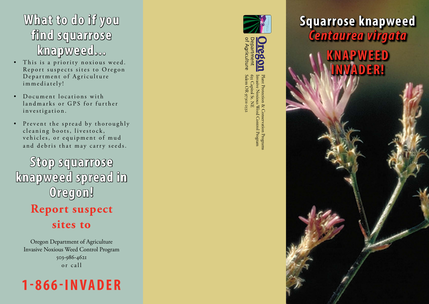### **What to do if you find squarrose knapweed...**

- This is a priority noxious weed. Report suspects sites to Oregon Department of Agriculture immediately!
- Document locations with land marks or GPS for further investigation.
- Prevent the spread by thoroughly cleaning boots, livestock, vehicles, or equipment of mud and debris that may carry seeds.

**Stop squarrose knapweed spread in Oregon! Report suspect sites to**

Oregon Department of Agriculture Invasive Noxious Weed Control Program 503-986-4621 or call







Salem OR 97301-2532 635 Capitol St. NE Invasive Noxious Weed Control Program Plant Protection & Conservation Programs

## **Squarrose knapweed**  *Centaurea virgata*

**KNAPWEED INVADER!**